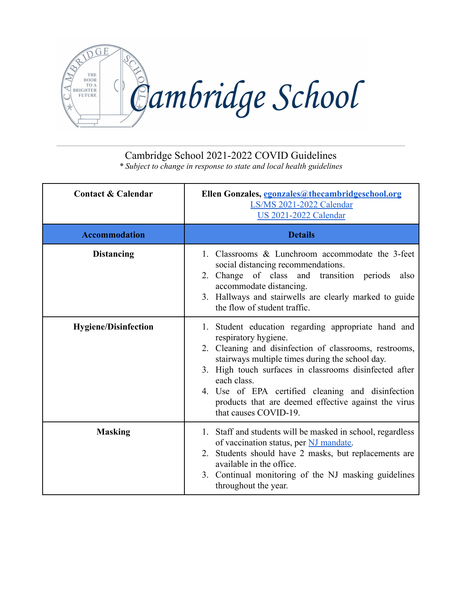

## Cambridge School 2021-2022 COVID Guidelines

*\* Subject to change in response to state and local health guidelines*

| <b>Contact &amp; Calendar</b> | Ellen Gonzales, egonzales@thecambridgeschool.org<br>LS/MS 2021-2022 Calendar<br><b>US 2021-2022 Calendar</b>                                                                                                                                                                                                                                                                                            |
|-------------------------------|---------------------------------------------------------------------------------------------------------------------------------------------------------------------------------------------------------------------------------------------------------------------------------------------------------------------------------------------------------------------------------------------------------|
| <b>Accommodation</b>          | <b>Details</b>                                                                                                                                                                                                                                                                                                                                                                                          |
| <b>Distancing</b>             | 1. Classrooms & Lunchroom accommodate the 3-feet<br>social distancing recommendations.<br>2. Change of class and transition periods<br>also<br>accommodate distancing.<br>3. Hallways and stairwells are clearly marked to guide<br>the flow of student traffic.                                                                                                                                        |
| <b>Hygiene/Disinfection</b>   | 1. Student education regarding appropriate hand and<br>respiratory hygiene.<br>2. Cleaning and disinfection of classrooms, restrooms,<br>stairways multiple times during the school day.<br>3. High touch surfaces in classrooms disinfected after<br>each class.<br>4. Use of EPA certified cleaning and disinfection<br>products that are deemed effective against the virus<br>that causes COVID-19. |
| <b>Masking</b>                | 1. Staff and students will be masked in school, regardless<br>of vaccination status, per NJ mandate.<br>2. Students should have 2 masks, but replacements are<br>available in the office.<br>3. Continual monitoring of the NJ masking guidelines<br>throughout the year.                                                                                                                               |